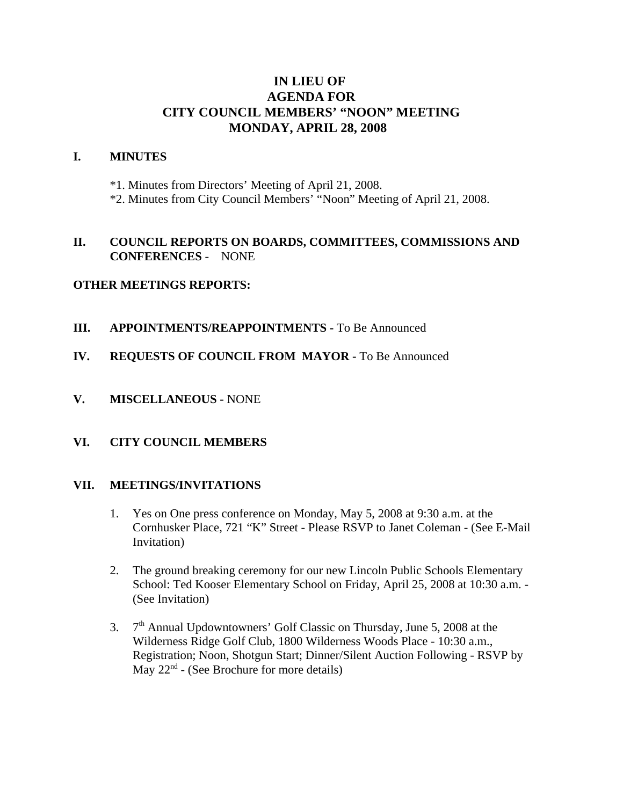# **IN LIEU OF AGENDA FOR CITY COUNCIL MEMBERS' "NOON" MEETING MONDAY, APRIL 28, 2008**

#### **I. MINUTES**

\*1. Minutes from Directors' Meeting of April 21, 2008.

\*2. Minutes from City Council Members' "Noon" Meeting of April 21, 2008.

## **II. COUNCIL REPORTS ON BOARDS, COMMITTEES, COMMISSIONS AND CONFERENCES** - NONE

## **OTHER MEETINGS REPORTS:**

- **III.** APPOINTMENTS/REAPPOINTMENTS To Be Announced
- **IV. REQUESTS OF COUNCIL FROM MAYOR -** To Be Announced
- **V. MISCELLANEOUS -** NONE

#### **VI. CITY COUNCIL MEMBERS**

#### **VII. MEETINGS/INVITATIONS**

- 1. Yes on One press conference on Monday, May 5, 2008 at 9:30 a.m. at the Cornhusker Place, 721 "K" Street - Please RSVP to Janet Coleman - (See E-Mail Invitation)
- 2. The ground breaking ceremony for our new Lincoln Public Schools Elementary School: Ted Kooser Elementary School on Friday, April 25, 2008 at 10:30 a.m. - (See Invitation)
- 3.  $7<sup>th</sup>$  Annual Updowntowners' Golf Classic on Thursday, June 5, 2008 at the Wilderness Ridge Golf Club, 1800 Wilderness Woods Place - 10:30 a.m., Registration; Noon, Shotgun Start; Dinner/Silent Auction Following - RSVP by May  $22<sup>nd</sup>$  - (See Brochure for more details)